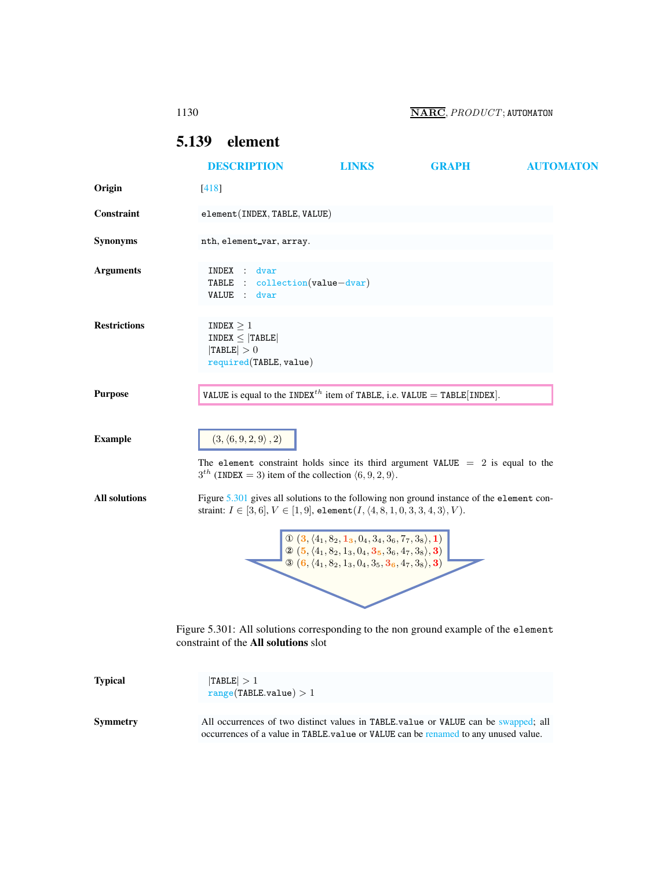1130 **NARC**, *PRODUCT*; AUTOMATON

# <span id="page-0-0"></span>5.139 element

<span id="page-0-1"></span>

|                      | <b>DESCRIPTION</b>                                                                                                                                                                            | <b>LINKS</b>                                                                                                                                                                                                       | <b>GRAPH</b> | <b>AUTOMATON</b> |
|----------------------|-----------------------------------------------------------------------------------------------------------------------------------------------------------------------------------------------|--------------------------------------------------------------------------------------------------------------------------------------------------------------------------------------------------------------------|--------------|------------------|
| Origin               | [418]                                                                                                                                                                                         |                                                                                                                                                                                                                    |              |                  |
| Constraint           | element(INDEX, TABLE, VALUE)                                                                                                                                                                  |                                                                                                                                                                                                                    |              |                  |
| <b>Synonyms</b>      | nth, element_var, array.                                                                                                                                                                      |                                                                                                                                                                                                                    |              |                  |
| <b>Arguments</b>     | INDEX<br>dvar<br>TABLE :<br>VALUE<br>dvar<br>$\sim$ 100 $\sim$                                                                                                                                | $\text{collection}(value - dwarf)$                                                                                                                                                                                 |              |                  |
| <b>Restrictions</b>  | INDEX $\geq 1$<br>$INDEX \leq  TABLE $<br> TABLE  > 0<br>required(TABLE, value)                                                                                                               |                                                                                                                                                                                                                    |              |                  |
| <b>Purpose</b>       | VALUE is equal to the INDEX <sup>th</sup> item of TABLE, i.e. VALUE = TABLE [INDEX].                                                                                                          |                                                                                                                                                                                                                    |              |                  |
| <b>Example</b>       | $(3, \langle 6, 9, 2, 9 \rangle, 2)$<br>The element constraint holds since its third argument VALUE $= 2$ is equal to the<br>$3th$ (INDEX = 3) item of the collection $(6, 9, 2, 9)$ .        |                                                                                                                                                                                                                    |              |                  |
| <b>All solutions</b> | Figure 5.301 gives all solutions to the following non ground instance of the element con-<br>straint: $I \in [3,6], V \in [1,9]$ , element $(I, \langle 4, 8, 1, 0, 3, 3, 4, 3 \rangle, V)$ . |                                                                                                                                                                                                                    |              |                  |
|                      |                                                                                                                                                                                               | $\Phi$ $(3, \langle 4_1, 8_2, 1_3, 0_4, 3_4, 3_6, 7_7, 3_8 \rangle, 1)$<br>2 $(5, (4_1, 8_2, 1_3, 0_4, 3_5, 3_6, 4_7, 3_8),$ 3)<br>$\mathcal{D}$ (6, $\langle 4_1, 8_2, 1_3, 0_4, 3_5, 3_6, 4_7, 3_8 \rangle$ , 3) |              |                  |
|                      | Figure 5.301: All solutions corresponding to the non ground example of the element<br>constraint of the All solutions slot                                                                    |                                                                                                                                                                                                                    |              |                  |
| <b>Typical</b>       | TABLE  > 1<br>range(TABLE.value) > 1                                                                                                                                                          |                                                                                                                                                                                                                    |              |                  |
| Symmetry             | All occurrences of two distinct values in TABLE.value or VALUE can be swapped; all<br>occurrences of a value in TABLE.value or VALUE can be renamed to any unused value.                      |                                                                                                                                                                                                                    |              |                  |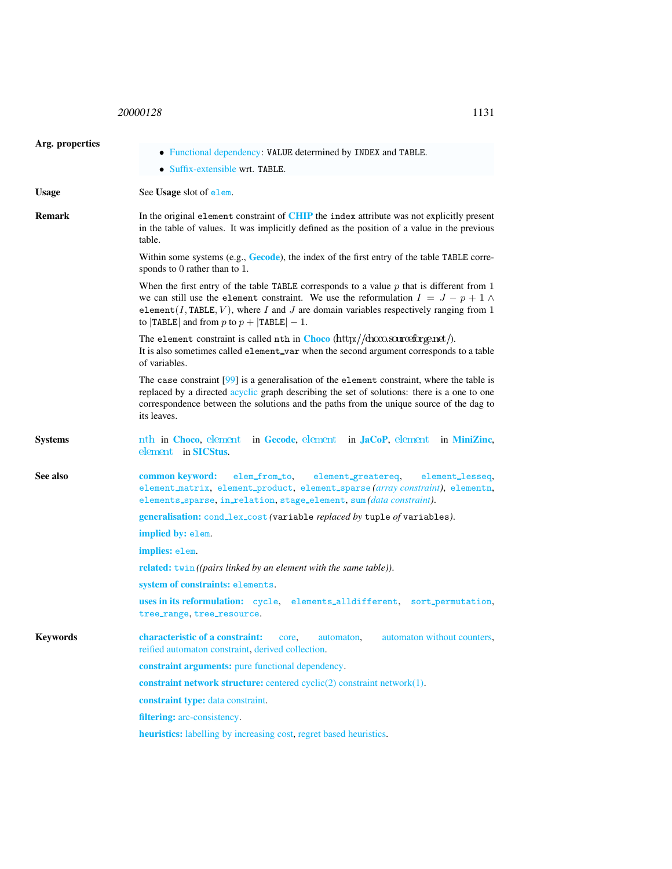<span id="page-1-0"></span>

| Arg. properties |                                                                                                                                                                                                                                                                                                                                   |  |  |
|-----------------|-----------------------------------------------------------------------------------------------------------------------------------------------------------------------------------------------------------------------------------------------------------------------------------------------------------------------------------|--|--|
|                 | • Functional dependency: VALUE determined by INDEX and TABLE.                                                                                                                                                                                                                                                                     |  |  |
|                 | • Suffix-extensible wrt. TABLE.                                                                                                                                                                                                                                                                                                   |  |  |
| <b>Usage</b>    | See Usage slot of elem.                                                                                                                                                                                                                                                                                                           |  |  |
| <b>Remark</b>   | In the original element constraint of CHIP the index attribute was not explicitly present<br>in the table of values. It was implicitly defined as the position of a value in the previous<br>table.                                                                                                                               |  |  |
|                 | Within some systems (e.g., Gecode), the index of the first entry of the table TABLE corre-<br>sponds to 0 rather than to 1.                                                                                                                                                                                                       |  |  |
|                 | When the first entry of the table TABLE corresponds to a value $p$ that is different from 1<br>we can still use the element constraint. We use the reformulation $I = J - p + 1 \wedge$<br>element(I, TABLE, V), where I and J are domain variables respectively ranging from 1<br>to $ TABLE $ and from p to $p +  TABLE  - 1$ . |  |  |
|                 | The element constraint is called nth in Choco (http://choco.sourceforge.net/).<br>It is also sometimes called element_var when the second argument corresponds to a table<br>of variables.                                                                                                                                        |  |  |
|                 | The case constraint $[99]$ is a generalisation of the element constraint, where the table is<br>replaced by a directed acyclic graph describing the set of solutions: there is a one to one<br>correspondence between the solutions and the paths from the unique source of the dag to<br>its leaves.                             |  |  |
| <b>Systems</b>  | nth in Choco, element in Gecode, element in JaCoP, element in MiniZinc,<br>element in SICStus.                                                                                                                                                                                                                                    |  |  |
| See also        | common keyword:<br>elem_from_to,<br>element_greatereq,<br>element_lesseq,<br>element_matrix, element_product, element_sparse(array constraint), elementn,<br>elements_sparse, in_relation, stage_element, sum (data constraint).                                                                                                  |  |  |
|                 | generalisation: cond_lex_cost (variable replaced by tuple of variables).                                                                                                                                                                                                                                                          |  |  |
|                 | implied by: elem.                                                                                                                                                                                                                                                                                                                 |  |  |
|                 | implies: elem.                                                                                                                                                                                                                                                                                                                    |  |  |
|                 | <b>related:</b> twin ((pairs linked by an element with the same table)).                                                                                                                                                                                                                                                          |  |  |
|                 | system of constraints: elements.                                                                                                                                                                                                                                                                                                  |  |  |
|                 | uses in its reformulation: cycle,<br>elements_alldifferent, sort_permutation,<br>tree_range, tree_resource.                                                                                                                                                                                                                       |  |  |
| <b>Keywords</b> | characteristic of a constraint:<br>automaton without counters,<br>core.<br>automaton.<br>reified automaton constraint, derived collection.                                                                                                                                                                                        |  |  |
|                 | constraint arguments: pure functional dependency.                                                                                                                                                                                                                                                                                 |  |  |
|                 | constraint network structure: centered cyclic(2) constraint network(1).                                                                                                                                                                                                                                                           |  |  |
|                 | constraint type: data constraint.                                                                                                                                                                                                                                                                                                 |  |  |
|                 | filtering: arc-consistency.                                                                                                                                                                                                                                                                                                       |  |  |
|                 | heuristics: labelling by increasing cost, regret based heuristics.                                                                                                                                                                                                                                                                |  |  |
|                 |                                                                                                                                                                                                                                                                                                                                   |  |  |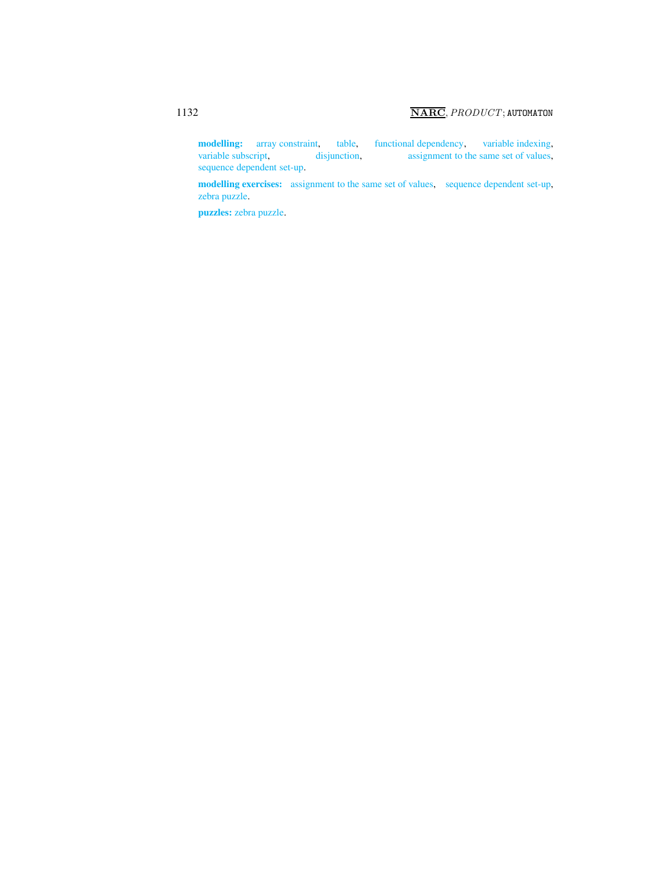modelling: array constraint, table, functional dependency, variable indexing, variable subscript, disjunction, assignment to the same set of values, assignment to the same set of values, sequence dependent set-up.

modelling exercises: assignment to the same set of values, sequence dependent set-up, zebra puzzle.

puzzles: zebra puzzle.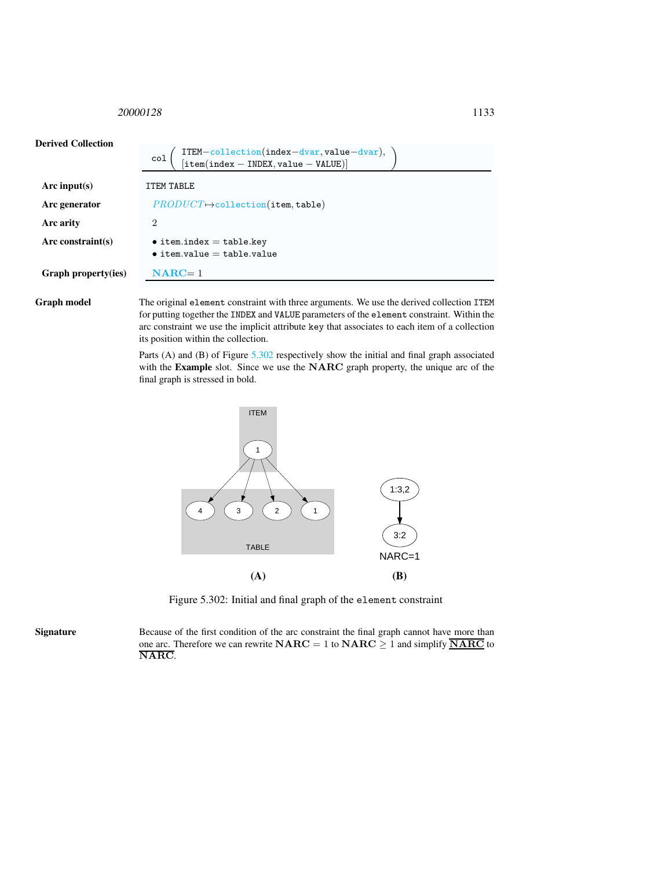<span id="page-3-0"></span>

| <b>Derived Collection</b> | ITEM-collection(index-dvar, value-dvar),<br>[item(index - INDEX, value - VALUE)]<br>col |
|---------------------------|-----------------------------------------------------------------------------------------|
| Arc input(s)              | <b>ITEM TABLE</b>                                                                       |
| Arc generator             | $PRODUCT \rightarrow collection(\texttt{item}, \texttt{table})$                         |
| Arc arity                 | 2                                                                                       |
| Arc constraint $(s)$      | $\bullet$ item.index = table.key<br>$\bullet$ item.value = table.value                  |
| Graph property(ies)       | $NARC = 1$                                                                              |

Graph model The original element constraint with three arguments. We use the derived collection ITEM for putting together the INDEX and VALUE parameters of the element constraint. Within the arc constraint we use the implicit attribute key that associates to each item of a collection its position within the collection.

> Parts (A) and (B) of Figure [5.302](#page-3-1) respectively show the initial and final graph associated with the Example slot. Since we use the NARC graph property, the unique arc of the final graph is stressed in bold.



<span id="page-3-1"></span>Figure 5.302: Initial and final graph of the element constraint

Signature Because of the first condition of the arc constraint the final graph cannot have more than one arc. Therefore we can rewrite  $NARC = 1$  to  $NARC \ge 1$  and simplify  $\overline{NARC}$  to NARC.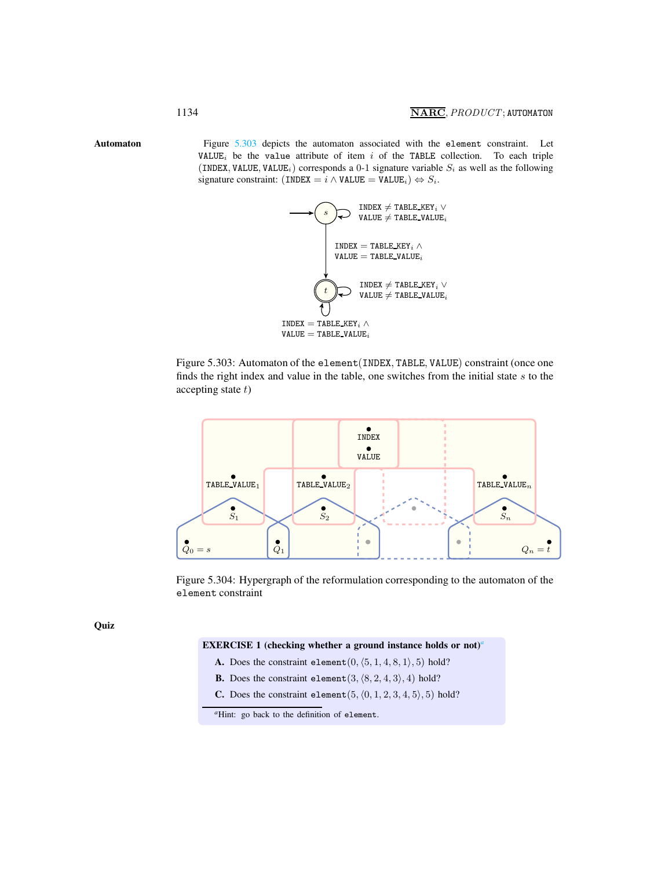Automaton Figure [5.303](#page-4-1) depicts the automaton associated with the element constraint. Let VALUE<sub>i</sub> be the value attribute of item  $i$  of the TABLE collection. To each triple (INDEX, VALUE, VALUE<sub>i</sub>) corresponds a 0-1 signature variable  $S_i$  as well as the following signature constraint: (INDEX =  $i \wedge$  VALUE = VALUE<sub>i</sub>)  $\Leftrightarrow S_i$ .

<span id="page-4-0"></span>

<span id="page-4-1"></span>Figure 5.303: Automaton of the element(INDEX, TABLE, VALUE) constraint (once one finds the right index and value in the table, one switches from the initial state  $s$  to the accepting state  $t$ )



Figure 5.304: Hypergraph of the reformulation corresponding to the automaton of the element constraint

**Quiz** 

# EXERCISE 1 (checking whether [a](#page-4-2) ground instance holds or not)<sup>*a*</sup>

- A. Does the constraint element  $(0, \langle 5, 1, 4, 8, 1 \rangle, 5)$  hold?
- **B.** Does the constraint element  $(3, \langle 8, 2, 4, 3 \rangle, 4)$  hold?
- **C.** Does the constraint element( $5$ ,  $\langle 0, 1, 2, 3, 4, 5 \rangle$ , 5) hold?

<span id="page-4-2"></span><sup>&</sup>lt;sup>*a*</sup>Hint: go back to the definition of element.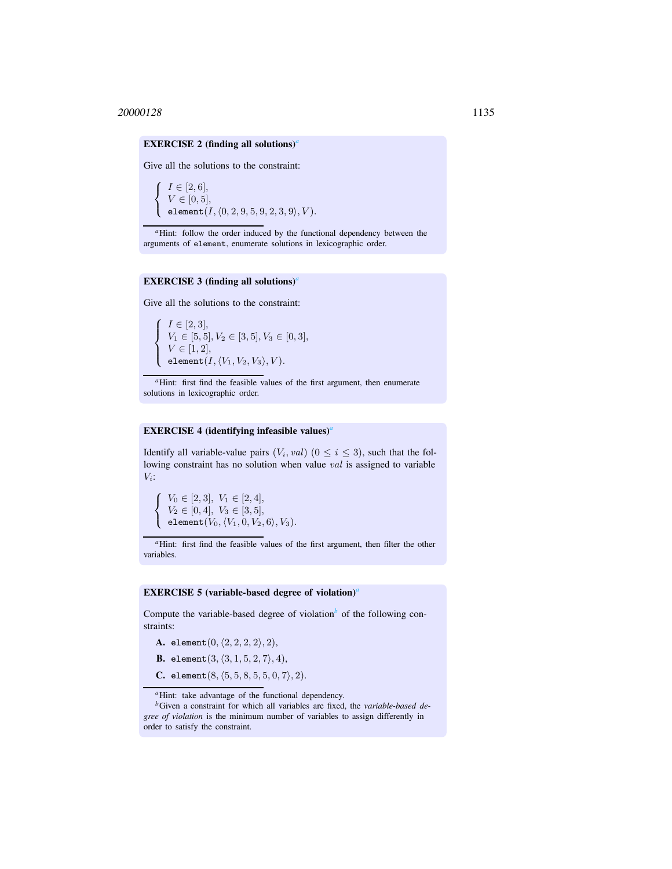# EXERCISE 2 (finding [a](#page-5-0)ll solutions)<sup>*a*</sup>

Give all the solutions to the constraint:

 $\sqrt{ }$  $\left\vert \right\vert$  $\mathcal{L}$  $I \in [2, 6],$  $V \in [0, 5],$ element $(I,\langle 0, 2, 9, 5, 9, 2, 3, 9\rangle, V)$ .

<sup>a</sup>Hint: follow the order induced by the functional dependency between the arguments of element, enumerate solutions in lexicographic order.

#### EXERCISE 3 (finding all solutions)*[a](#page-5-1)*

<span id="page-5-0"></span>Give all the solutions to the constraint:

 $\sqrt{ }$  $\int$  $\overline{\mathcal{L}}$  $I \in [2, 3]$ ,  $V_1 \in [5, 5], V_2 \in [3, 5], V_3 \in [0, 3],$  $V \in [1, 2],$ element $(I,\langle V_1,V_2, V_3\rangle, V)$ .

*<sup>a</sup>*Hint: first find the feasible values of the first argument, then enumerate solutions in lexicographic order.

# EXERCISE 4 (identifying infeasible values)*[a](#page-5-2)*

<span id="page-5-1"></span>Identify all variable-value pairs  $(V_i, val)$   $(0 \le i \le 3)$ , such that the following constraint has no solution when value val is assigned to variable  $V_i$ :

 $\sqrt{ }$  $\left\vert \right\vert$  $\mathcal{L}$  $V_0 \in [2, 3], V_1 \in [2, 4],$  $V_2 \in [0, 4], V_3 \in [3, 5],$ element $(V_0,\langle V_1, 0, V_2, 6\rangle, V_3).$ 

*<sup>a</sup>*Hint: first find the feasible values of the first argument, then filter the other variables.

#### EXERCISE 5 (v[a](#page-5-3)riable-based degree of violation)<sup>*a*</sup>

<span id="page-5-2"></span>Compute the varia[b](#page-5-4)le-based degree of violation<sup> $b$ </sup> of the following constraints:

A. element $(0, \langle 2, 2, 2, 2 \rangle, 2),$ 

**B.** element(3,  $\langle 3, 1, 5, 2, 7 \rangle, 4$ ),

C. element $(8, \langle 5, 5, 8, 5, 5, 0, 7 \rangle, 2)$ .

*<sup>a</sup>*Hint: take advantage of the functional dependency.

<span id="page-5-4"></span><span id="page-5-3"></span>*<sup>b</sup>*Given a constraint for which all variables are fixed, the *variable-based degree of violation* is the minimum number of variables to assign differently in order to satisfy the constraint.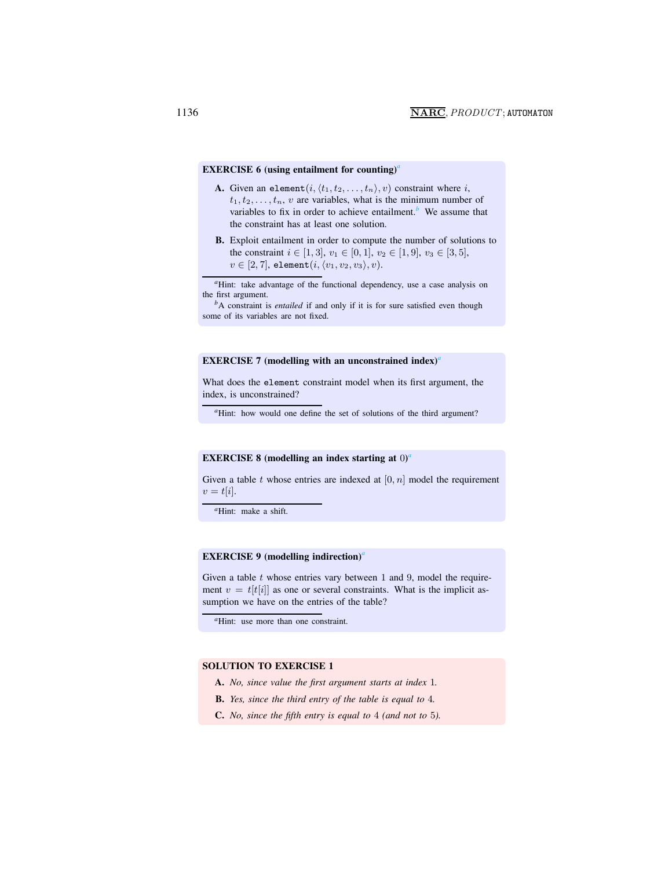# EXERCISE 6 (using ent[a](#page-6-0)ilment for counting)<sup>4</sup>

- **A.** Given an element $(i, \langle t_1, t_2, \ldots, t_n \rangle, v)$  constraint where i,  $t_1, t_2, \ldots, t_n$ , v are variables, what is the minimum number of varia[b](#page-6-1)les to fix in order to achieve entailment.<sup>*b*</sup> We assume that the constraint has at least one solution.
- B. Exploit entailment in order to compute the number of solutions to the constraint  $i \in [1, 3], v_1 \in [0, 1], v_2 \in [1, 9], v_3 \in [3, 5],$  $v \in [2, 7]$ , element $(i, \langle v_1, v_2, v_3 \rangle, v)$ .

*<sup>a</sup>*Hint: take advantage of the functional dependency, use a case analysis on the first argument.

*<sup>b</sup>*A constraint is *entailed* if and only if it is for sure satisfied even though some of its variables are not fixed.

# <span id="page-6-0"></span>EXERCISE 7 (modelling with [a](#page-6-2)n unconstrained index)<sup>*a*</sup>

<span id="page-6-1"></span>What does the element constraint model when its first argument, the index, is unconstrained?

<sup>a</sup>Hint: how would one define the set of solutions of the third argument?

# <span id="page-6-2"></span>EXERCISE 8 (modelling [a](#page-6-3)n index starting at 0)<sup>a</sup>

Given a table t whose entries are indexed at  $[0, n]$  model the requirement  $v = t[i].$ 

*<sup>a</sup>*Hint: make a shift.

# <span id="page-6-3"></span>EXERCISE 9 (modelling indirection)<sup>*[a](#page-6-4)*</sup>

Given a table  $t$  whose entries vary between 1 and 9, model the requirement  $v = t[t[i]]$  as one or several constraints. What is the implicit assumption we have on the entries of the table?

*<sup>a</sup>*Hint: use more than one constraint.

#### <span id="page-6-4"></span>SOLUTION TO EXERCISE 1

- A. *No, since value the first argument starts at index* 1*.*
- B. *Yes, since the third entry of the table is equal to* 4*.*
- C. *No, since the fifth entry is equal to* 4 *(and not to* 5*).*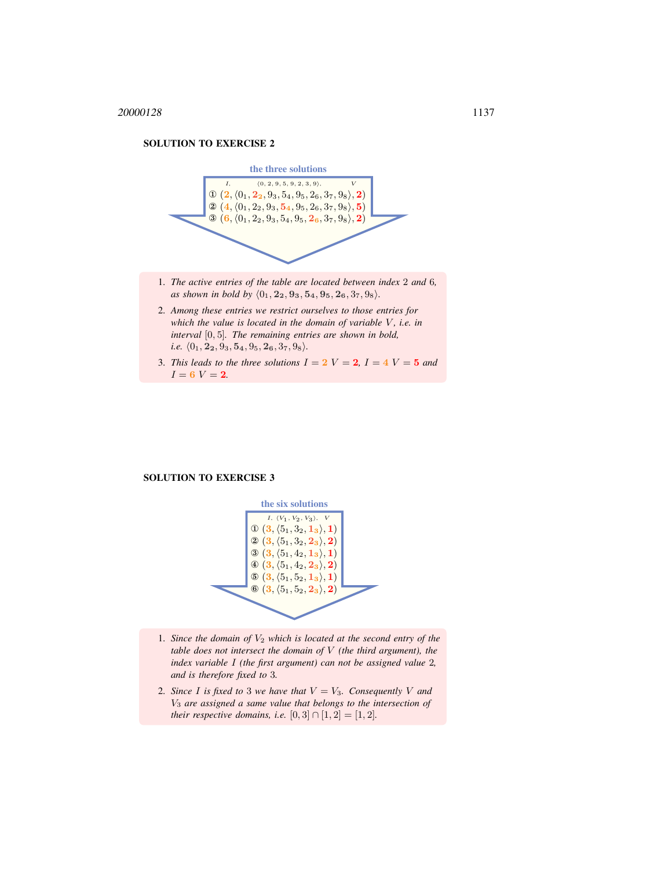

- 1. *The active entries of the table are located between index* 2 *and* 6*, as shown in bold by*  $\langle 0_1, 2_2, 9_3, 5_4, 9_5, 2_6, 3_7, 9_8 \rangle$ *.*
- 2. *Among these entries we restrict ourselves to those entries for which the value is located in the domain of variable V, i.e. in interval* [0, 5]*. The remaining entries are shown in bold, i.e.*  $\langle 0_1, 2_2, 9_3, 5_4, 9_5, 2_6, 3_7, 9_8 \rangle.$
- 3. *This leads to the three solutions*  $I = 2$   $V = 2$ ,  $I = 4$   $V = 5$  *and*  $I = 6$   $V = 2$ .

#### SOLUTION TO EXERCISE 3



- 1. *Since the domain of* V<sup>2</sup> *which is located at the second entry of the table does not intersect the domain of* V *(the third argument), the index variable* I *(the first argument) can not be assigned value* 2*, and is therefore fixed to* 3*.*
- 2. *Since* I *is fixed to* 3 *we have that*  $V = V_3$ *. Consequently* V *and* V<sup>3</sup> *are assigned a same value that belongs to the intersection of their respective domains, i.e.*  $[0, 3] \cap [1, 2] = [1, 2]$ *.*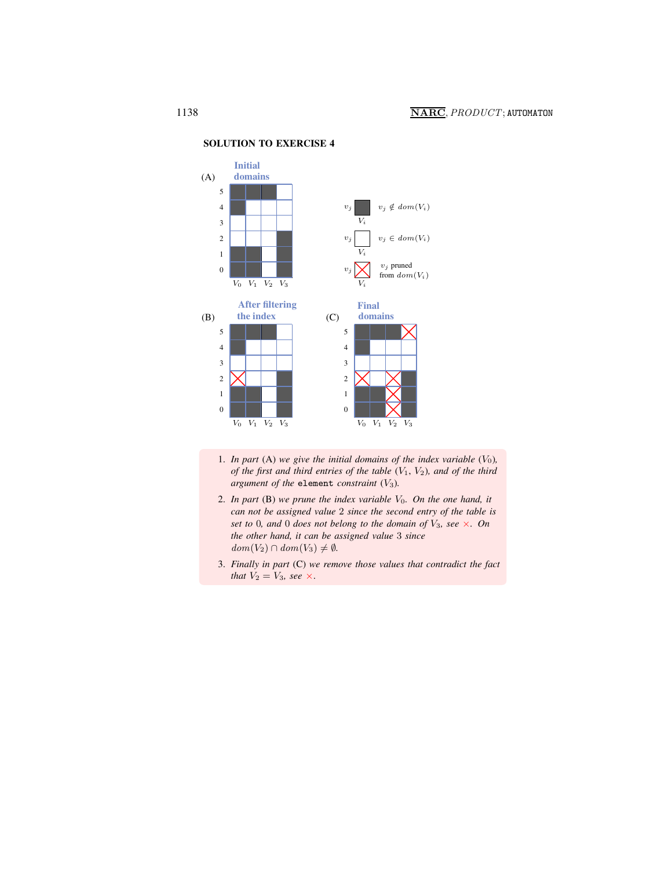

- 1. *In part* (A) we give the initial domains of the index variable  $(V_0)$ *, of the first and third entries of the table* (V1, V2)*, and of the third argument of the* element *constraint* (V3)*.*
- 2. In part  $(B)$  we prune the index variable  $V_0$ . On the one hand, it *can not be assigned value* 2 *since the second entry of the table is set to* 0*, and* 0 *does not belong to the domain of* V3*, see* ×*. On the other hand, it can be assigned value* 3 *since*  $dom(V_2) \cap dom(V_3) \neq \emptyset$ .
- 3. *Finally in part* (C) *we remove those values that contradict the fact that*  $V_2 = V_3$ *, see*  $\times$ .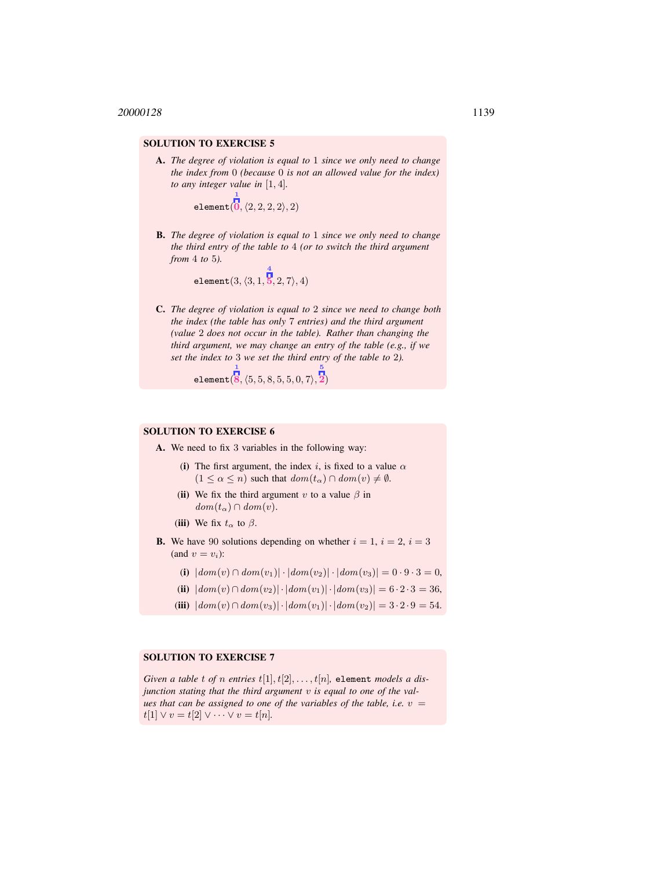A. *The degree of violation is equal to* 1 *since we only need to change the index from* 0 *(because* 0 *is not an allowed value for the index) to any integer value in* [1, 4]*.*

> element(  $\overline{0}$ ,  $\langle 2, 2, 2, 2 \rangle, 2)$

1

B. *The degree of violation is equal to* 1 *since we only need to change the third entry of the table to* 4 *(or to switch the third argument from* 4 *to* 5*).*

> $\mathtt{element}(3, \langle 3, 1,$  $\vert 5,2,7\rangle, 4)$

4

C. *The degree of violation is equal to* 2 *since we need to change both the index (the table has only* 7 *entries) and the third argument (value* 2 *does not occur in the table). Rather than changing the third argument, we may change an entry of the table (e.g., if we set the index to* 3 *we set the third entry of the table to* 2*).*

5

element(  $\overline{\bf 8}, \langle 5, 5, 8, 5, 5, 0, 7 \rangle,$ 2)

1

# SOLUTION TO EXERCISE 6

- A. We need to fix 3 variables in the following way:
	- (i) The first argument, the index i, is fixed to a value  $\alpha$  $(1 \leq \alpha \leq n)$  such that  $dom(t_{\alpha}) \cap dom(v) \neq \emptyset$ .
	- (ii) We fix the third argument v to a value  $\beta$  in  $dom(t_\alpha) \cap dom(v)$ .

(iii) We fix  $t_{\alpha}$  to  $\beta$ .

- **B.** We have 90 solutions depending on whether  $i = 1$ ,  $i = 2$ ,  $i = 3$ (and  $v = v_i$ ):
	- (i)  $|dom(v) \cap dom(v_1)| \cdot |dom(v_2)| \cdot |dom(v_3)| = 0 \cdot 9 \cdot 3 = 0,$
	- (ii)  $|dom(v) \cap dom(v_2)| \cdot |dom(v_1)| \cdot |dom(v_3)| = 6 \cdot 2 \cdot 3 = 36,$
	- (iii)  $|dom(v) \cap dom(v_3)| \cdot |dom(v_1)| \cdot |dom(v_2)| = 3 \cdot 2 \cdot 9 = 54.$

# SOLUTION TO EXERCISE 7

*Given a table t of n entries*  $t[1], t[2], \ldots, t[n]$ , element *models a disjunction stating that the third argument* v *is equal to one of the values that can be assigned to one of the variables of the table, i.e.*  $v =$  $t[1] \vee v = t[2] \vee \cdots \vee v = t[n].$